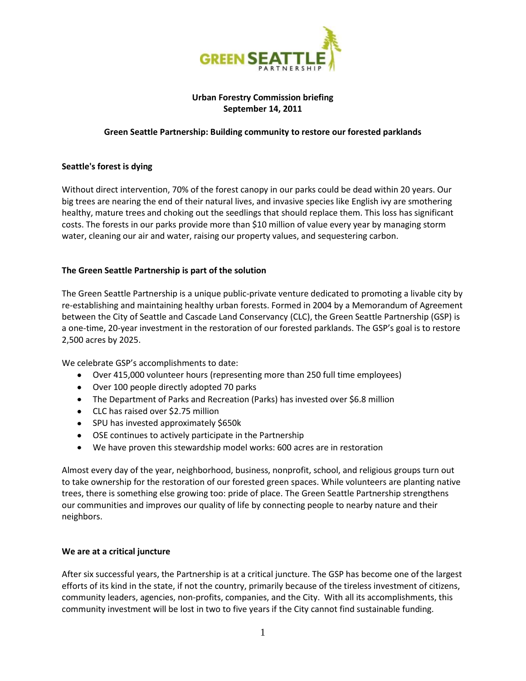

# **Urban Forestry Commission briefing September 14, 2011**

## **Green Seattle Partnership: Building community to restore our forested parklands**

### **Seattle's forest is dying**

Without direct intervention, 70% of the forest canopy in our parks could be dead within 20 years. Our big trees are nearing the end of their natural lives, and invasive species like English ivy are smothering healthy, mature trees and choking out the seedlings that should replace them. This loss has significant costs. The forests in our parks provide more than \$10 million of value every year by managing storm water, cleaning our air and water, raising our property values, and sequestering carbon.

### **The Green Seattle Partnership is part of the solution**

The Green Seattle Partnership is a unique public-private venture dedicated to promoting a livable city by re-establishing and maintaining healthy urban forests. Formed in 2004 by a Memorandum of Agreement between the City of Seattle and Cascade Land Conservancy (CLC), the Green Seattle Partnership (GSP) is a one-time, 20-year investment in the restoration of our forested parklands. The GSP's goal is to restore 2,500 acres by 2025.

We celebrate GSP's accomplishments to date:

- Over 415,000 volunteer hours (representing more than 250 full time employees)
- Over 100 people directly adopted 70 parks
- The Department of Parks and Recreation (Parks) has invested over \$6.8 million
- CLC has raised over \$2.75 million
- SPU has invested approximately \$650k
- OSE continues to actively participate in the Partnership
- We have proven this stewardship model works: 600 acres are in restoration

Almost every day of the year, neighborhood, business, nonprofit, school, and religious groups turn out to take ownership for the restoration of our forested green spaces. While volunteers are planting native trees, there is something else growing too: pride of place. The Green Seattle Partnership strengthens our communities and improves our quality of life by connecting people to nearby nature and their neighbors.

#### **We are at a critical juncture**

After six successful years, the Partnership is at a critical juncture. The GSP has become one of the largest efforts of its kind in the state, if not the country, primarily because of the tireless investment of citizens, community leaders, agencies, non-profits, companies, and the City. With all its accomplishments, this community investment will be lost in two to five years if the City cannot find sustainable funding.